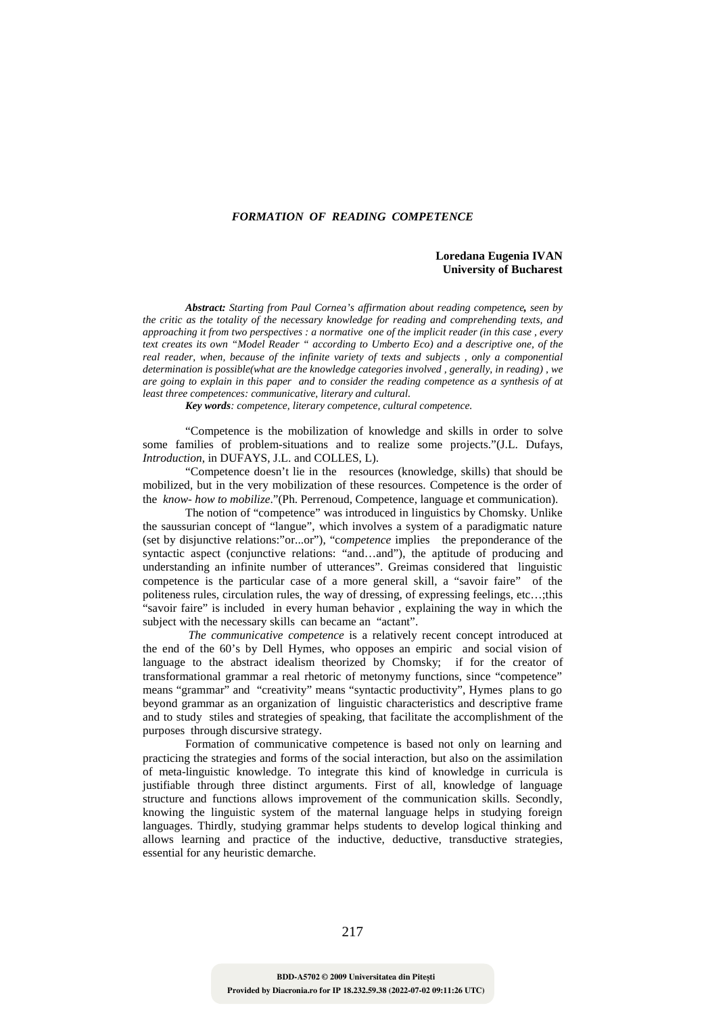## *FORMATION OF READING COMPETENCE*

## **Loredana Eugenia IVAN University of Bucharest**

*Abstract: Starting from Paul Cornea's affirmation about reading competence, seen by the critic as the totality of the necessary knowledge for reading and comprehending texts, and approaching it from two perspectives : a normative one of the implicit reader (in this case , every text creates its own "Model Reader " according to Umberto Eco) and a descriptive one, of the real reader, when, because of the infinite variety of texts and subjects , only a componential determination is possible(what are the knowledge categories involved , generally, in reading) , we are going to explain in this paper and to consider the reading competence as a synthesis of at least three competences: communicative, literary and cultural.*

*Key words: competence, literary competence, cultural competence.*

"Competence is the mobilization of knowledge and skills in order to solve some families of problem-situations and to realize some projects."(J.L. Dufays, *Introduction*, in DUFAYS, J.L. and COLLES, L).

"Competence doesn't lie in the resources (knowledge, skills) that should be mobilized, but in the very mobilization of these resources. Competence is the order of the *know- how to mobilize*."(Ph. Perrenoud, Competence, language et communication).

The notion of "competence" was introduced in linguistics by Chomsky. Unlike the saussurian concept of "langue", which involves a system of a paradigmatic nature (set by disjunctive relations:"or...or"), "c*ompetence* implies the preponderance of the syntactic aspect (conjunctive relations: "and…and"), the aptitude of producing and understanding an infinite number of utterances". Greimas considered that linguistic competence is the particular case of a more general skill, a "savoir faire" of the politeness rules, circulation rules, the way of dressing, of expressing feelings, etc…;this "savoir faire" is included in every human behavior , explaining the way in which the subject with the necessary skills can became an "actant".

 *The communicative competence* is a relatively recent concept introduced at the end of the 60's by Dell Hymes, who opposes an empiric and social vision of language to the abstract idealism theorized by Chomsky; if for the creator of transformational grammar a real rhetoric of metonymy functions, since "competence" means "grammar" and "creativity" means "syntactic productivity", Hymes plans to go beyond grammar as an organization of linguistic characteristics and descriptive frame and to study stiles and strategies of speaking, that facilitate the accomplishment of the purposes through discursive strategy.

Formation of communicative competence is based not only on learning and practicing the strategies and forms of the social interaction, but also on the assimilation of meta-linguistic knowledge. To integrate this kind of knowledge in curricula is justifiable through three distinct arguments. First of all, knowledge of language structure and functions allows improvement of the communication skills. Secondly, knowing the linguistic system of the maternal language helps in studying foreign languages. Thirdly, studying grammar helps students to develop logical thinking and allows learning and practice of the inductive, deductive, transductive strategies, essential for any heuristic demarche.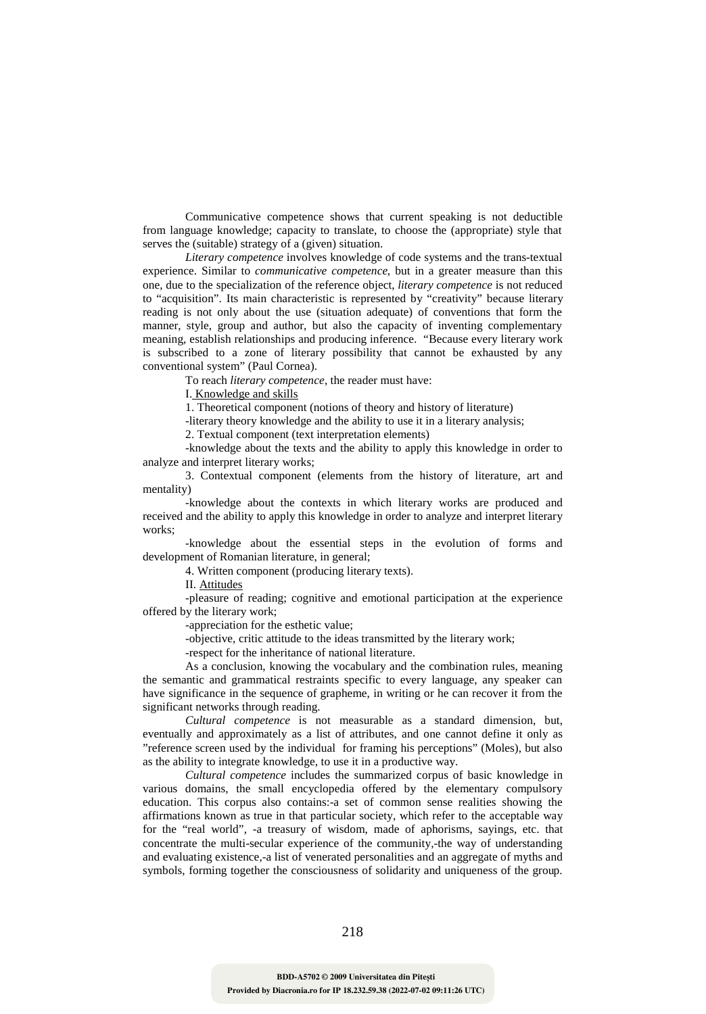Communicative competence shows that current speaking is not deductible from language knowledge; capacity to translate, to choose the (appropriate) style that serves the (suitable) strategy of a (given) situation.

*Literary competence* involves knowledge of code systems and the trans-textual experience. Similar to *communicative competence*, but in a greater measure than this one, due to the specialization of the reference object, *literary competence* is not reduced to "acquisition". Its main characteristic is represented by "creativity" because literary reading is not only about the use (situation adequate) of conventions that form the manner, style, group and author, but also the capacity of inventing complementary meaning, establish relationships and producing inference. "Because every literary work is subscribed to a zone of literary possibility that cannot be exhausted by any conventional system" (Paul Cornea).

To reach *literary competence*, the reader must have:

I. Knowledge and skills

1. Theoretical component (notions of theory and history of literature)

-literary theory knowledge and the ability to use it in a literary analysis;

2. Textual component (text interpretation elements)

-knowledge about the texts and the ability to apply this knowledge in order to analyze and interpret literary works;

3. Contextual component (elements from the history of literature, art and mentality)

-knowledge about the contexts in which literary works are produced and received and the ability to apply this knowledge in order to analyze and interpret literary works;

-knowledge about the essential steps in the evolution of forms and development of Romanian literature, in general;

4. Written component (producing literary texts).

II. Attitudes

-pleasure of reading; cognitive and emotional participation at the experience offered by the literary work;

-appreciation for the esthetic value;

-objective, critic attitude to the ideas transmitted by the literary work;

-respect for the inheritance of national literature.

As a conclusion, knowing the vocabulary and the combination rules, meaning the semantic and grammatical restraints specific to every language, any speaker can have significance in the sequence of grapheme, in writing or he can recover it from the significant networks through reading.

*Cultural competence* is not measurable as a standard dimension, but, eventually and approximately as a list of attributes, and one cannot define it only as "reference screen used by the individual for framing his perceptions" (Moles), but also as the ability to integrate knowledge, to use it in a productive way.

*Cultural competence* includes the summarized corpus of basic knowledge in various domains, the small encyclopedia offered by the elementary compulsory education. This corpus also contains:-a set of common sense realities showing the affirmations known as true in that particular society, which refer to the acceptable way for the "real world", -a treasury of wisdom, made of aphorisms, sayings, etc. that concentrate the multi-secular experience of the community,-the way of understanding and evaluating existence,-a list of venerated personalities and an aggregate of myths and symbols, forming together the consciousness of solidarity and uniqueness of the group.